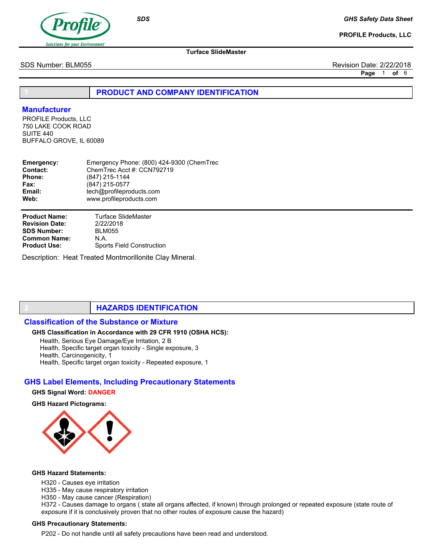

GHS Safety Data Sheet

PROFILE Products, LLC

Turface SlideMaster

SDS Number: BLM055 Revision Date: 2/22/2018

Page 1 of 6

PRODUCT AND COMPANY IDENTIFICATION

# **Manufacturer**

PROFILE Products, LLC 750 LAKE COOK ROAD SUITE 440 BUFFALO GROVE, IL 60089

| Emergency:    | Emergency Phone: (800) 424-9300 (ChemTrec |
|---------------|-------------------------------------------|
| Contact:      | ChemTrec Acct #: CCN792719                |
| <b>Phone:</b> | (847) 215-1144                            |
| Fax:          | (847) 215-0577                            |
| Email:        | tech@profileproducts.com                  |
| Web:          | www.profileproducts.com                   |
|               |                                           |

Product Name: Revision Date: SDS Number: Common Name: Product Use:

Turface SlideMaster 2/22/2018 BLM055 N.A. Sports Field Construction

Description: Heat Treated Montmorillonite Clay Mineral.

# **HAZARDS IDENTIFICATION**

# Classification of the Substance or Mixture

### GHS Classification in Accordance with 29 CFR 1910 (OSHA HCS):

Health, Serious Eye Damage/Eye Irritation, 2 B

Health, Specific target organ toxicity - Single exposure, 3

Health, Carcinogenicity, 1

Health, Specific target organ toxicity - Repeated exposure, 1

# GHS Label Elements, Including Precautionary Statements

## GHS Signal Word: DANGER

GHS Hazard Pictograms:



#### GHS Hazard Statements:

- H320 Causes eye irritation
- H335 May cause respiratory irritation
- H350 May cause cancer (Respiration)

H372 - Causes damage to organs ( state all organs affected, if known) through prolonged or repeated exposure (state route of exposure if it is conclusively proven that no other routes of exposure cause the hazard)

#### GHS Precautionary Statements:

P202 - Do not handle until all safety precautions have been read and understood.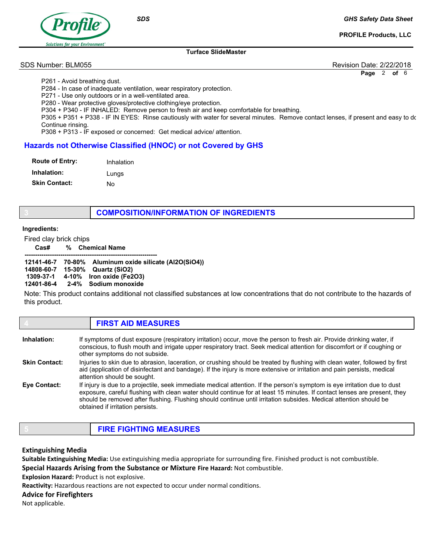

**SDS** 

GHS Safety Data Sheet

PROFILE Products, LLC

#### Turface SlideMaster

SDS Number: BLM055 Revision Date: 2/22/2018

Page 2 of 6

P261 - Avoid breathing dust.

P284 - In case of inadequate ventilation, wear respiratory protection.

P271 - Use only outdoors or in a well-ventilated area.

P280 - Wear protective gloves/protective clothing/eye protection.

P304 + P340 - IF INHALED: Remove person to fresh air and keep comfortable for breathing.

P305 + P351 + P338 - IF IN EYES: Rinse cautiously with water for several minutes. Remove contact lenses, if present and easy to do Continue rinsing.

P308 + P313 - IF exposed or concerned: Get medical advice/ attention.

# Hazards not Otherwise Classified (HNOC) or not Covered by GHS

| <b>Route of Entry:</b> | Inhalation |
|------------------------|------------|
| Inhalation:            | Lungs      |
| <b>Skin Contact:</b>   | N٥         |

# COMPOSITION/INFORMATION OF INGREDIENTS

### Ingredients:

Fired clay brick chips

Cas# % Chemical Name

|  | 12141-46-7 70-80% Aluminum oxide silicate (Al2O(SiO4)) |
|--|--------------------------------------------------------|
|  | 14808-60-7 15-30% Quartz (SiO2)                        |
|  | 1309-37-1 4-10% Iron oxide (Fe2O3)                     |
|  | 12401-86-4 2-4% Sodium monoxide                        |

Note: This product contains additional not classified substances at low concentrations that do not contribute to the hazards of this product.

#### **FIRST AID MEASURES** If symptoms of dust exposure (respiratory irritation) occur, move the person to fresh air. Provide drinking water, if conscious, to flush mouth and irrigate upper respiratory tract. Seek medical attention for discomfort or if coughing or other symptoms do not subside. Injuries to skin due to abrasion, laceration, or crushing should be treated by flushing with clean water, followed by first aid (application of disinfectant and bandage). If the injury is more extensive or irritation and pain persists, medical attention should be sought. If injury is due to a projectile, seek immediate medical attention. If the person's symptom is eye irritation due to dust exposure, careful flushing with clean water should continue for at least 15 minutes. If contact lenses are present, they should be removed after flushing. Flushing should continue until irritation subsides. Medical attention should be obtained if irritation persists. Inhalation: Skin Contact: Eye Contact:

# Extinguishing Media

Suitable Extinguishing Media: Use extinguishing media appropriate for surrounding fire. Finished product is not combustible. Special Hazards Arising from the Substance or Mixture Fire Hazard: Not combustible.

Explosion Hazard: Product is not explosive.

Reactivity: Hazardous reactions are not expected to occur under normal conditions.

# Advice for Firefighters

Not applicable.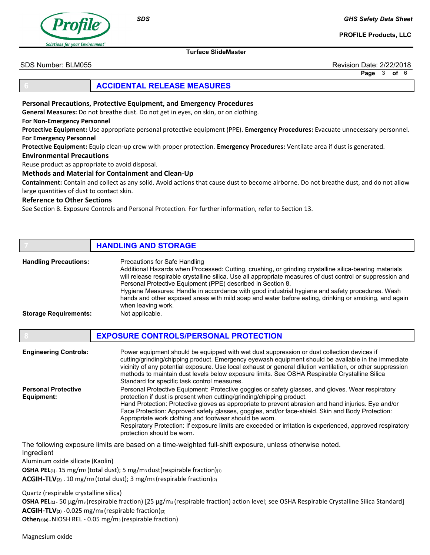

**SDS** 

GHS Safety Data Sheet

PROFILE Products, LLC

SDS Number: BLM055 Revision Date: 2/22/2018

Page 3 of 6

# 6 ACCIDENTAL RELEASE MEASURES

Personal Precautions, Protective Equipment, and Emergency Procedures

General Measures: Do not breathe dust. Do not get in eyes, on skin, or on clothing.

# For Non-Emergency Personnel

Protective Equipment: Use appropriate personal protective equipment (PPE). Emergency Procedures: Evacuate unnecessary personnel. For Emergency Personnel

Turface SlideMaster

Protective Equipment: Equip clean-up crew with proper protection. Emergency Procedures: Ventilate area if dust is generated.

#### Environmental Precautions

Reuse product as appropriate to avoid disposal.

### Methods and Material for Containment and Clean-Up

Containment: Contain and collect as any solid. Avoid actions that cause dust to become airborne. Do not breathe dust, and do not allow large quantities of dust to contact skin.

## Reference to Other Sections

See Section 8. Exposure Controls and Personal Protection. For further information, refer to Section 13.

|                              | <b>HANDLING AND STORAGE</b>                                                                                                                                                                                                                                                                                                                                                                                                                                                                                                                            |
|------------------------------|--------------------------------------------------------------------------------------------------------------------------------------------------------------------------------------------------------------------------------------------------------------------------------------------------------------------------------------------------------------------------------------------------------------------------------------------------------------------------------------------------------------------------------------------------------|
| <b>Handling Precautions:</b> | Precautions for Safe Handling<br>Additional Hazards when Processed: Cutting, crushing, or grinding crystalline silica-bearing materials<br>will release respirable crystalline silica. Use all appropriate measures of dust control or suppression and<br>Personal Protective Equipment (PPE) described in Section 8.<br>Hygiene Measures: Handle in accordance with good industrial hygiene and safety procedures. Wash<br>hands and other exposed areas with mild soap and water before eating, drinking or smoking, and again<br>when leaving work. |
| <b>Storage Requirements:</b> | Not applicable.                                                                                                                                                                                                                                                                                                                                                                                                                                                                                                                                        |

|                                          | <b>EXPOSURE CONTROLS/PERSONAL PROTECTION</b>                                                                                                                                                                                                                                                                                                                                                                                                                                                                                                                                                |  |
|------------------------------------------|---------------------------------------------------------------------------------------------------------------------------------------------------------------------------------------------------------------------------------------------------------------------------------------------------------------------------------------------------------------------------------------------------------------------------------------------------------------------------------------------------------------------------------------------------------------------------------------------|--|
| <b>Engineering Controls:</b>             | Power equipment should be equipped with wet dust suppression or dust collection devices if<br>cutting/grinding/chipping product. Emergency eyewash equipment should be available in the immediate<br>vicinity of any potential exposure. Use local exhaust or general dilution ventilation, or other suppression<br>methods to maintain dust levels below exposure limits. See OSHA Respirable Crystalline Silica<br>Standard for specific task control measures.                                                                                                                           |  |
| <b>Personal Protective</b><br>Equipment: | Personal Protective Equipment: Protective goggles or safety glasses, and gloves. Wear respiratory<br>protection if dust is present when cutting/grinding/chipping product.<br>Hand Protection: Protective gloves as appropriate to prevent abrasion and hand injuries. Eye and/or<br>Face Protection: Approved safety glasses, goggles, and/or face-shield. Skin and Body Protection:<br>Appropriate work clothing and footwear should be worn.<br>Respiratory Protection: If exposure limits are exceeded or irritation is experienced, approved respiratory<br>protection should be worn. |  |

The following exposure limits are based on a time-weighted full-shift exposure, unless otherwise noted. Ingredient

Aluminum oxide silicate (Kaolin)

OSHA PEL(1) - 15 mg/m<sub>3</sub> (total dust); 5 mg/m<sub>3</sub> dust(respirable fraction)(1)

ACGIH-TLV(2) - 10 mg/m<sub>3</sub> (total dust); 3 mg/m<sub>3</sub> (respirable fraction)(2)

Quartz (respirable crystalline silica)

OSHA PEL(1) - 50 μg/m3 (respirable fraction) [25 μg/m3 (respirable fraction) action level; see OSHA Respirable Crystalline Silica Standard] ACGIH-TLV(2) - 0.025 mg/m3 (respirable fraction)(2)

Other(3)(4) - NIOSH REL - 0.05 mg/m3 (respirable fraction)

Magnesium oxide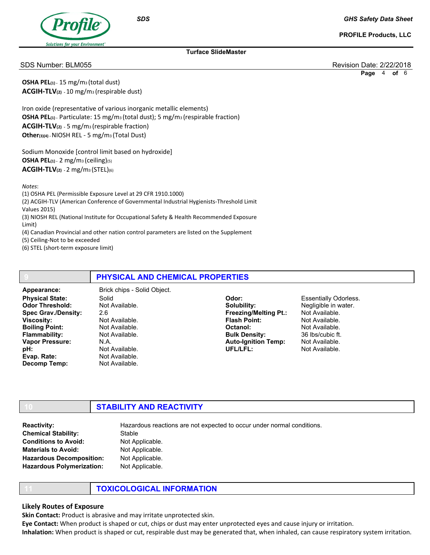

PROFILE Products, LLC

### Turface SlideMaster

SDS Number: BLM055 Revision Date: 2/22/2018

Page 4 of 6

**OSHA PEL** $_{(1)}$  - 15 mg/m<sub>3</sub> (total dust) ACGIH-TLV(2) - 10 mg/m3 (respirable dust)

Iron oxide (representative of various inorganic metallic elements) OSHA PEL(1) - Particulate: 15 mg/m3 (total dust); 5 mg/m3 (respirable fraction) ACGIH-TLV(2) - 5 mg/m3 (respirable fraction) Other(3)(4) - NIOSH REL - 5 mg/m3 (Total Dust)

**SDS** 

Sodium Monoxide [control limit based on hydroxide] **OSHA PEL**(1) - 2 mg/m<sub>3</sub> (ceiling)(5)  $ACGIH-TLV_{(2)} - 2$  mg/m<sub>3</sub> (STEL)(6)

Notes:

(1) OSHA PEL (Permissible Exposure Level at 29 CFR 1910.1000) (2) ACGIH-TLV (American Conference of Governmental Industrial Hygienists-Threshold Limit Values 2015) (3) NIOSH REL (National Institute for Occupational Safety & Health Recommended Exposure Limit)

(4) Canadian Provincial and other nation control parameters are listed on the Supplement

(5) Ceiling-Not to be exceeded

(6) STEL (short-term exposure limit)

# PHYSICAL AND CHEMICAL PROPERTIES

Physical State: Odor Threshold: Spec Grav./Density: Viscosity: Boiling Point: Flammability: Vapor Pressure: pH: Evap. Rate: Decomp Temp: Appearance: Brick chips - Solid Object.

Solid Not Available. 2.6 Not Available. Not Available. Not Available. N.A. Not Available. Not Available. Not Available.

Odor: Solubility: Freezing/Melting Pt.: Flash Point: Octanol: Bulk Density: Auto-Ignition Temp: UFL/LFL:

Essentially Odorless. Negligible in water. Not Available. Not Available. Not Available. 36 lbs/cubic ft. Not Available. Not Available.

# **STABILITY AND REACTIVITY**

**Stable** Not Applicable. Not Applicable. Not Applicable. Not Applicable. Chemical Stability: Conditions to Avoid: Materials to Avoid: Hazardous Decomposition: Hazardous Polymerization: Reactivity: **Hazardous reactions are not expected to occur under normal conditions.** 

# **TOXICOLOGICAL INFORMATION**

# Likely Routes of Exposure

Skin Contact: Product is abrasive and may irritate unprotected skin.

Eye Contact: When product is shaped or cut, chips or dust may enter unprotected eyes and cause injury or irritation.

Inhalation: When product is shaped or cut, respirable dust may be generated that, when inhaled, can cause respiratory system irritation.

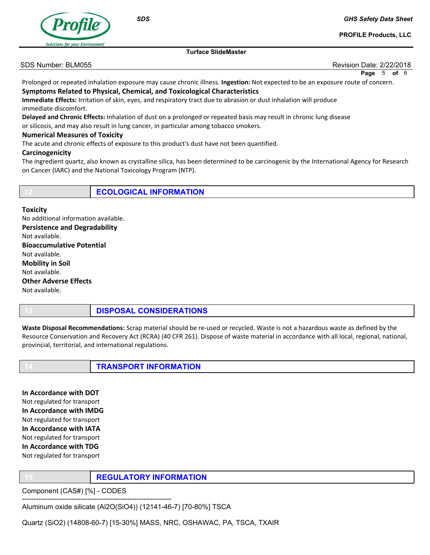

**SDS** 

GHS Safety Data Sheet

PROFILE Products, LLC

Turface SlideMaster

SDS Number: BLM055 **Review of the Contract of Contract Contract Contract Contract Contract Contract Contract Contract Contract Contract Contract Contract Contract Contract Contract Contract Contract Contract Contract Contr** 

Page 5 of 6

Prolonged or repeated inhalation exposure may cause chronic illness. Ingestion: Not expected to be an exposure route of concern. Symptoms Related to Physical, Chemical, and Toxicological Characteristics

Immediate Effects: Irritation of skin, eyes, and respiratory tract due to abrasion or dust inhalation will produce immediate discomfort.

Delayed and Chronic Effects: Inhalation of dust on a prolonged or repeated basis may result in chronic lung disease

or silicosis, and may also result in lung cancer, in particular among tobacco smokers.

# Numerical Measures of Toxicity

The acute and chronic effects of exposure to this product's dust have not been quantified.

## Carcinogenicity

The ingredient quartz, also known as crystalline silica, has been determined to be carcinogenic by the International Agency for Research on Cancer (IARC) and the National Toxicology Program (NTP).

|  |  | ECOLOGICAL INFORMATION |
|--|--|------------------------|
|--|--|------------------------|

**Toxicity** No additional information available. Persistence and Degradability Not available. Bioaccumulative Potential Not available. Mobility in Soil Not available. Other Adverse Effects Not available.

DISPOSAL CONSIDERATIONS

Waste Disposal Recommendations: Scrap material should be re-used or recycled. Waste is not a hazardous waste as defined by the Resource Conservation and Recovery Act (RCRA) (40 CFR 261). Dispose of waste material in accordance with all local, regional, national, provincial, territorial, and international regulations.

**TRANSPORT INFORMATION** 

In Accordance with DOT Not regulated for transport In Accordance with IMDG Not regulated for transport In Accordance with IATA Not regulated for transport In Accordance with TDG Not regulated for transport

**REGULATORY INFORMATION** 

Component (CAS#) [%] - CODES

---------------------------------------------------------------- Aluminum oxide silicate (Al2O(SiO4)) (12141-46-7) [70-80%] TSCA

Quartz (SiO2) (14808-60-7) [15-30%] MASS, NRC, OSHAWAC, PA, TSCA, TXAIR